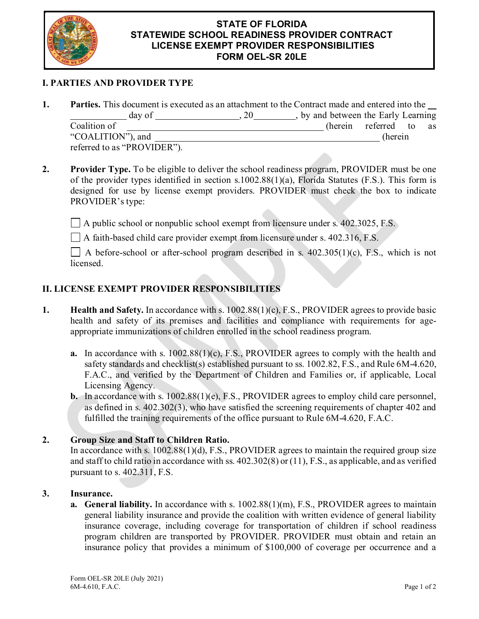

#### **STATE OF FLORIDA STATEWIDE SCHOOL READINESS PROVIDER CONTRACT LICENSE EXEMPT PROVIDER RESPONSIBILITIES FORM OEL-SR 20LE**

# **I. PARTIES AND PROVIDER TYPE**

|                             | <b>Parties.</b> This document is executed as an attachment to the Contract made and entered into the |         |  |
|-----------------------------|------------------------------------------------------------------------------------------------------|---------|--|
| day of                      | , by and between the Early Learning                                                                  |         |  |
| Coalition of                | (herein referred to as                                                                               |         |  |
| "COALITION"), and           |                                                                                                      | (herein |  |
| referred to as "PROVIDER"). |                                                                                                      |         |  |

**2. Provider Type.** To be eligible to deliver the school readiness program, PROVIDER must be one of the provider types identified in section s.1002.88(1)(a), Florida Statutes (F.S.). This form is designed for use by license exempt providers. PROVIDER must check the box to indicate PROVIDER's type:

 $\Box$  A public school or nonpublic school exempt from licensure under s. 402.3025, F.S.

A faith-based child care provider exempt from licensure under s. 402.316, F.S.

 $\Box$  A before-school or after-school program described in s. 402.305(1)(c), F.S., which is not licensed.

## **II. LICENSE EXEMPT PROVIDER RESPONSIBILITIES**

- **1. Health and Safety.** In accordance with s. 1002.88(1)(c), F.S., PROVIDER agrees to provide basic health and safety of its premises and facilities and compliance with requirements for ageappropriate immunizations of children enrolled in the school readiness program.
	- **a.** In accordance with s. 1002.88(1)(c), F.S., PROVIDER agrees to comply with the health and safety standards and checklist(s) established pursuant to ss. 1002.82, F.S., and Rule 6M-4.620, F.A.C., and verified by the Department of Children and Families or, if applicable, Local Licensing Agency.
	- **b.** In accordance with s. 1002.88(1)(e), F.S., PROVIDER agrees to employ child care personnel, as defined in s. 402.302(3), who have satisfied the screening requirements of chapter 402 and fulfilled the training requirements of the office pursuant to Rule 6M-4.620, F.A.C.

### **2. Group Size and Staff to Children Ratio.**

In accordance with s. 1002.88(1)(d), F.S., PROVIDER agrees to maintain the required group size and staff to child ratio in accordance with ss. 402.302(8) or (11), F.S., as applicable, and as verified pursuant to s. 402.311, F.S.

### **3. Insurance.**

**a. General liability.** In accordance with s. 1002.88(1)(m), F.S., PROVIDER agrees to maintain general liability insurance and provide the coalition with written evidence of general liability insurance coverage, including coverage for transportation of children if school readiness program children are transported by PROVIDER. PROVIDER must obtain and retain an insurance policy that provides a minimum of \$100,000 of coverage per occurrence and a